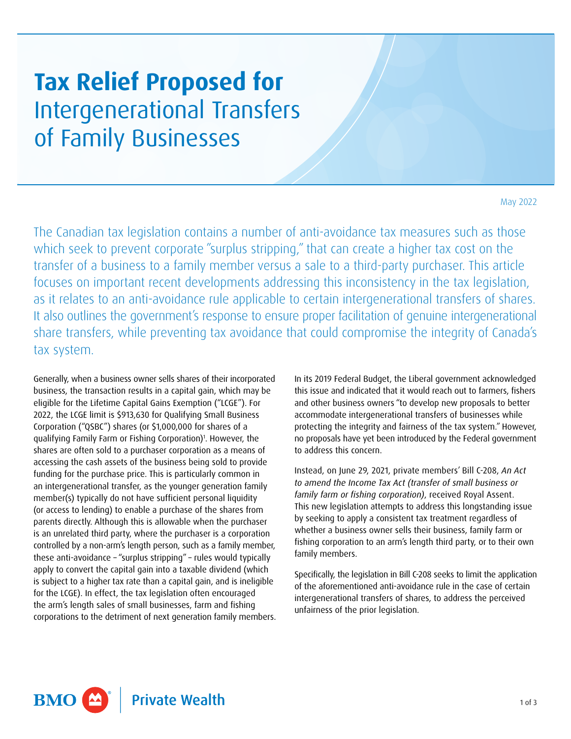## **Tax Relief Proposed for**  Intergenerational Transfers of Family Businesses

May 2022

The Canadian tax legislation contains a number of anti-avoidance tax measures such as those which seek to prevent corporate "surplus stripping," that can create a higher tax cost on the transfer of a business to a family member versus a sale to a third-party purchaser. This article focuses on important recent developments addressing this inconsistency in the tax legislation, as it relates to an anti-avoidance rule applicable to certain intergenerational transfers of shares. It also outlines the government's response to ensure proper facilitation of genuine intergenerational share transfers, while preventing tax avoidance that could compromise the integrity of Canada's tax system.

Generally, when a business owner sells shares of their incorporated business, the transaction results in a capital gain, which may be eligible for the Lifetime Capital Gains Exemption ("LCGE"). For 2022, the LCGE limit is \$913,630 for Qualifying Small Business Corporation ("QSBC") shares (or \$1,000,000 for shares of a qualifying Family Farm or Fishing Corporation)<sup>[1](#page-2-0)</sup>. However, the shares are often sold to a purchaser corporation as a means of accessing the cash assets of the business being sold to provide funding for the purchase price. This is particularly common in an intergenerational transfer, as the younger generation family member(s) typically do not have sufficient personal liquidity (or access to lending) to enable a purchase of the shares from parents directly. Although this is allowable when the purchaser is an unrelated third party, where the purchaser is a corporation controlled by a non-arm's length person, such as a family member, these anti-avoidance – "surplus stripping" – rules would typically apply to convert the capital gain into a taxable dividend (which is subject to a higher tax rate than a capital gain, and is ineligible for the LCGE). In effect, the tax legislation often encouraged the arm's length sales of small businesses, farm and fishing corporations to the detriment of next generation family members. In its 2019 Federal Budget, the Liberal government acknowledged this issue and indicated that it would reach out to farmers, fishers and other business owners "to develop new proposals to better accommodate intergenerational transfers of businesses while protecting the integrity and fairness of the tax system." However, no proposals have yet been introduced by the Federal government to address this concern.

Instead, on June 29, 2021, private members' Bill C-208, *An Act to amend the Income Tax Act (transfer of small business or family farm or fishing corporation)*, received Royal Assent. This new legislation attempts to address this longstanding issue by seeking to apply a consistent tax treatment regardless of whether a business owner sells their business, family farm or fishing corporation to an arm's length third party, or to their own family members.

Specifically, the legislation in Bill C-208 seeks to limit the application of the aforementioned anti-avoidance rule in the case of certain intergenerational transfers of shares, to address the perceived unfairness of the prior legislation.

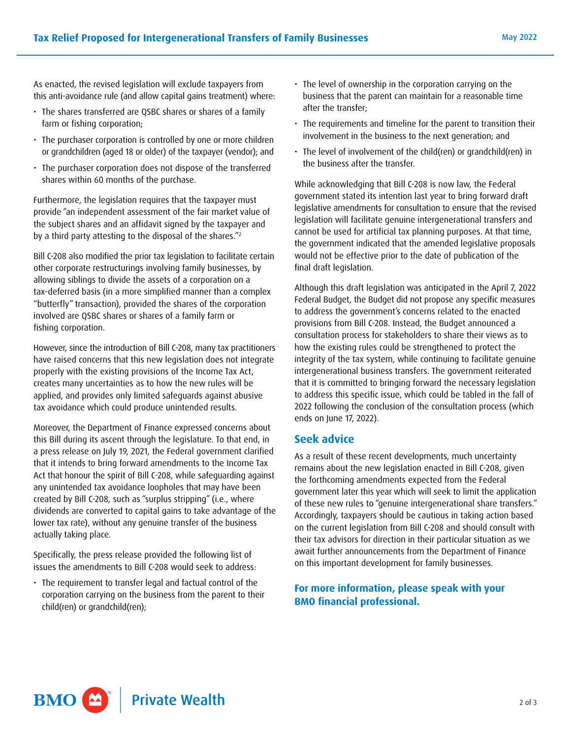As enacted, the revised legislation will exclude taxpayers from this anti-avoidance rule (and allow capital gains treatment) where:

- The shares transferred are QSBC shares or shares of a family farm or fishing corporation;
- The purchaser corporation is controlled by one or more children or grandchildren (aged 18 or older) of the taxpayer (vendor); and
- The purchaser corporation does not dispose of the transferred shares within 60 months of the purchase.

Furthermore, the legislation requires that the taxpayer must provide "an independent assessment of the fair market value of the subject shares and an affidavit signed by the taxpayer and by a third party attesting to the disposal of the shares.["2](#page-2-1)

Bill C-208 also modified the prior tax legislation to facilitate certain other corporate restructurings involving family businesses, by allowing siblings to divide the assets of a corporation on a tax-deferred basis (in a more simplified manner than a complex "butterfly" transaction), provided the shares of the corporation involved are QSBC shares or shares of a family farm or fishing corporation.

However, since the introduction of Bill C-208, many tax practitioners have raised concerns that this new legislation does not integrate properly with the existing provisions of the Income Tax Act, creates many uncertainties as to how the new rules will be applied, and provides only limited safeguards against abusive tax avoidance which could produce unintended results.

Moreover, the Department of Finance expressed concerns about this Bill during its ascent through the legislature. To that end, in a press release on July 19, 2021, the Federal government clarified that it intends to bring forward amendments to the Income Tax Act that honour the spirit of Bill C-208, while safeguarding against any unintended tax avoidance loopholes that may have been created by Bill C-208, such as "surplus stripping" (i.e., where dividends are converted to capital gains to take advantage of the lower tax rate), without any genuine transfer of the business actually taking place.

Specifically, the press release provided the following list of issues the amendments to Bill C-208 would seek to address:

• The requirement to transfer legal and factual control of the corporation carrying on the business from the parent to their child(ren) or grandchild(ren);

- The level of ownership in the corporation carrying on the business that the parent can maintain for a reasonable time after the transfer;
- The requirements and timeline for the parent to transition their involvement in the business to the next generation; and
- The level of involvement of the child(ren) or grandchild(ren) in the business after the transfer.

While acknowledging that Bill C-208 is now law, the Federal government stated its intention last year to bring forward draft legislative amendments for consultation to ensure that the revised legislation will facilitate genuine intergenerational transfers and cannot be used for artificial tax planning purposes. At that time, the government indicated that the amended legislative proposals would not be effective prior to the date of publication of the final draft legislation.

Although this draft legislation was anticipated in the April 7, 2022 Federal Budget, the Budget did not propose any specific measures to address the government's concerns related to the enacted provisions from Bill C-208. Instead, the Budget announced a consultation process for stakeholders to share their views as to how the existing rules could be strengthened to protect the integrity of the tax system, while continuing to facilitate genuine intergenerational business transfers. The government reiterated that it is committed to bringing forward the necessary legislation to address this specific issue, which could be tabled in the fall of 2022 following the conclusion of the consultation process (which ends on June 17, 2022).

## **Seek advice**

As a result of these recent developments, much uncertainty remains about the new legislation enacted in Bill C-208, given the forthcoming amendments expected from the Federal government later this year which will seek to limit the application of these new rules to "genuine intergenerational share transfers." Accordingly, taxpayers should be cautious in taking action based on the current legislation from Bill C-208 and should consult with their tax advisors for direction in their particular situation as we await further announcements from the Department of Finance on this important development for family businesses.

For more information, please speak with your **BMO financial professional.**